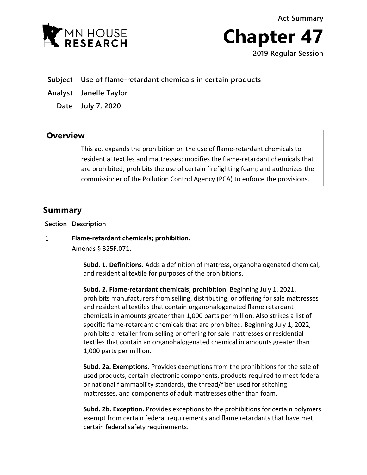**Act Summary**





**Subject Use of flame-retardant chemicals in certain products**

**Analyst Janelle Taylor**

**Date July 7, 2020**

## **Overview**

This act expands the prohibition on the use of flame-retardant chemicals to residential textiles and mattresses; modifies the flame-retardant chemicals that are prohibited; prohibits the use of certain firefighting foam; and authorizes the commissioner of the Pollution Control Agency (PCA) to enforce the provisions.

# **Summary**

### **Section Description**

 $\mathbf{1}$ **Flame-retardant chemicals; prohibition.**

Amends § 325F.071.

**Subd. 1. Definitions.** Adds a definition of mattress, organohalogenated chemical, and residential textile for purposes of the prohibitions.

**Subd. 2. Flame-retardant chemicals; prohibition.** Beginning July 1, 2021, prohibits manufacturers from selling, distributing, or offering for sale mattresses and residential textiles that contain organohalogenated flame retardant chemicals in amounts greater than 1,000 parts per million. Also strikes a list of specific flame-retardant chemicals that are prohibited. Beginning July 1, 2022, prohibits a retailer from selling or offering for sale mattresses or residential textiles that contain an organohalogenated chemical in amounts greater than 1,000 parts per million.

**Subd. 2a. Exemptions.** Provides exemptions from the prohibitions for the sale of used products, certain electronic components, products required to meet federal or national flammability standards, the thread/fiber used for stitching mattresses, and components of adult mattresses other than foam.

**Subd. 2b. Exception.** Provides exceptions to the prohibitions for certain polymers exempt from certain federal requirements and flame retardants that have met certain federal safety requirements.